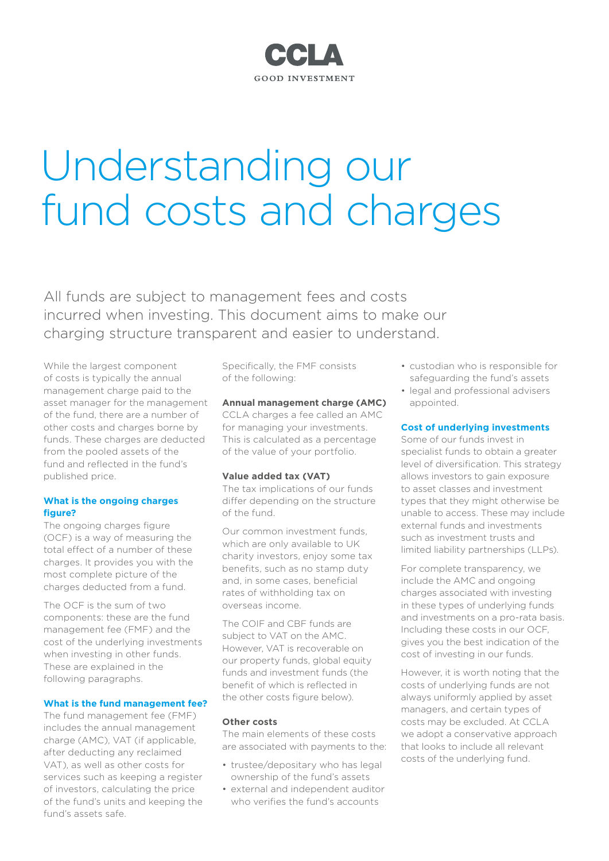## CCLA **GOOD INVESTMENT**

# Understanding our fund costs and charges

All funds are subject to management fees and costs incurred when investing. This document aims to make our charging structure transparent and easier to understand.

While the largest component of costs is typically the annual management charge paid to the asset manager for the management of the fund, there are a number of other costs and charges borne by funds. These charges are deducted from the pooled assets of the fund and reflected in the fund's published price.

#### **What is the ongoing charges figure?**

The ongoing charges figure (OCF) is a way of measuring the total effect of a number of these charges. It provides you with the most complete picture of the charges deducted from a fund.

The OCF is the sum of two components: these are the fund management fee (FMF) and the cost of the underlying investments when investing in other funds. These are explained in the following paragraphs.

#### **What is the fund management fee?**

The fund management fee (FMF) includes the annual management charge (AMC), VAT (if applicable, after deducting any reclaimed VAT), as well as other costs for services such as keeping a register of investors, calculating the price of the fund's units and keeping the fund's assets safe.

Specifically, the FMF consists of the following:

#### **Annual management charge (AMC)**

CCLA charges a fee called an AMC for managing your investments. This is calculated as a percentage of the value of your portfolio.

#### **Value added tax (VAT)**

The tax implications of our funds differ depending on the structure of the fund.

Our common investment funds, which are only available to UK charity investors, enjoy some tax benefits, such as no stamp duty and, in some cases, beneficial rates of withholding tax on overseas income.

The COIF and CBF funds are subject to VAT on the AMC. However, VAT is recoverable on our property funds, global equity funds and investment funds (the benefit of which is reflected in the other costs figure below).

#### **Other costs**

The main elements of these costs are associated with payments to the:

- trustee/depositary who has legal ownership of the fund's assets
- external and independent auditor who verifies the fund's accounts
- custodian who is responsible for safeguarding the fund's assets
- legal and professional advisers appointed.

#### **Cost of underlying investments**

Some of our funds invest in specialist funds to obtain a greater level of diversification. This strategy allows investors to gain exposure to asset classes and investment types that they might otherwise be unable to access. These may include external funds and investments such as investment trusts and limited liability partnerships (LLPs).

For complete transparency, we include the AMC and ongoing charges associated with investing in these types of underlying funds and investments on a pro-rata basis. Including these costs in our OCF, gives you the best indication of the cost of investing in our funds.

However, it is worth noting that the costs of underlying funds are not always uniformly applied by asset managers, and certain types of costs may be excluded. At CCLA we adopt a conservative approach that looks to include all relevant costs of the underlying fund.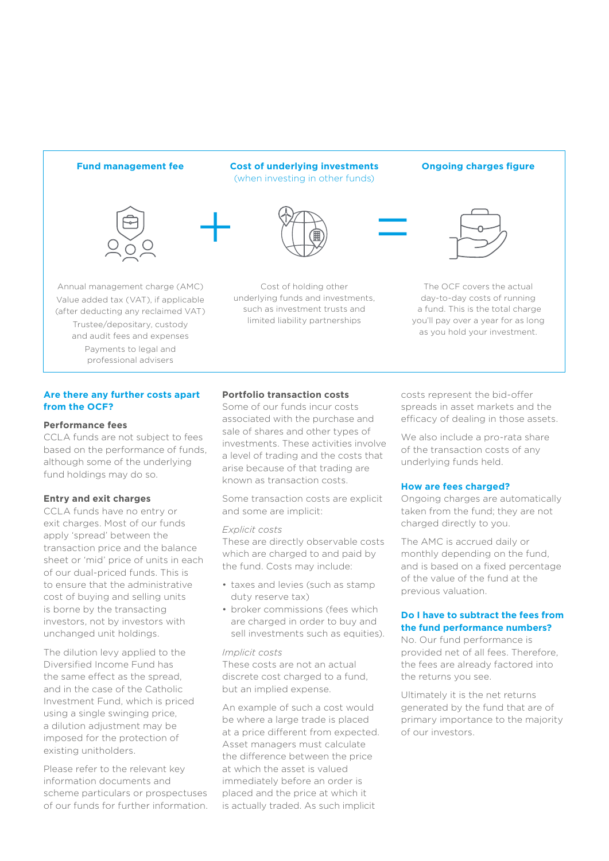**Fund management fee Cost of underlying investments**  (when investing in other funds)



Annual management charge (AMC) Value added tax (VAT), if applicable (after deducting any reclaimed VAT) Trustee/depositary, custody and audit fees and expenses Payments to legal and professional advisers





Cost of holding other underlying funds and investments, such as investment trusts and limited liability partnerships

#### **Ongoing charges figure**



The OCF covers the actual day-to-day costs of running a fund. This is the total charge you'll pay over a year for as long as you hold your investment.

#### **Are there any further costs apart from the OCF?**

#### **Performance fees**

CCLA funds are not subject to fees based on the performance of funds, although some of the underlying fund holdings may do so.

#### **Entry and exit charges**

CCLA funds have no entry or exit charges. Most of our funds apply 'spread' between the transaction price and the balance sheet or 'mid' price of units in each of our dual-priced funds. This is to ensure that the administrative cost of buying and selling units is borne by the transacting investors, not by investors with unchanged unit holdings.

The dilution levy applied to the Diversified Income Fund has the same effect as the spread, and in the case of the Catholic Investment Fund, which is priced using a single swinging price, a dilution adjustment may be imposed for the protection of existing unitholders.

Please refer to the relevant key information documents and scheme particulars or prospectuses of our funds for further information.

#### **Portfolio transaction costs**

Some of our funds incur costs associated with the purchase and sale of shares and other types of investments. These activities involve a level of trading and the costs that arise because of that trading are known as transaction costs.

Some transaction costs are explicit and some are implicit:

#### *Explicit costs*

These are directly observable costs which are charged to and paid by the fund. Costs may include:

- taxes and levies (such as stamp duty reserve tax)
- broker commissions (fees which are charged in order to buy and sell investments such as equities).

#### *Implicit costs*

These costs are not an actual discrete cost charged to a fund, but an implied expense.

An example of such a cost would be where a large trade is placed at a price different from expected. Asset managers must calculate the difference between the price at which the asset is valued immediately before an order is placed and the price at which it is actually traded. As such implicit

costs represent the bid-offer spreads in asset markets and the efficacy of dealing in those assets.

We also include a pro-rata share of the transaction costs of any underlying funds held.

#### **How are fees charged?**

Ongoing charges are automatically taken from the fund; they are not charged directly to you.

The AMC is accrued daily or monthly depending on the fund, and is based on a fixed percentage of the value of the fund at the previous valuation.

#### **Do I have to subtract the fees from the fund performance numbers?**

No. Our fund performance is provided net of all fees. Therefore, the fees are already factored into the returns you see.

Ultimately it is the net returns generated by the fund that are of primary importance to the majority of our investors.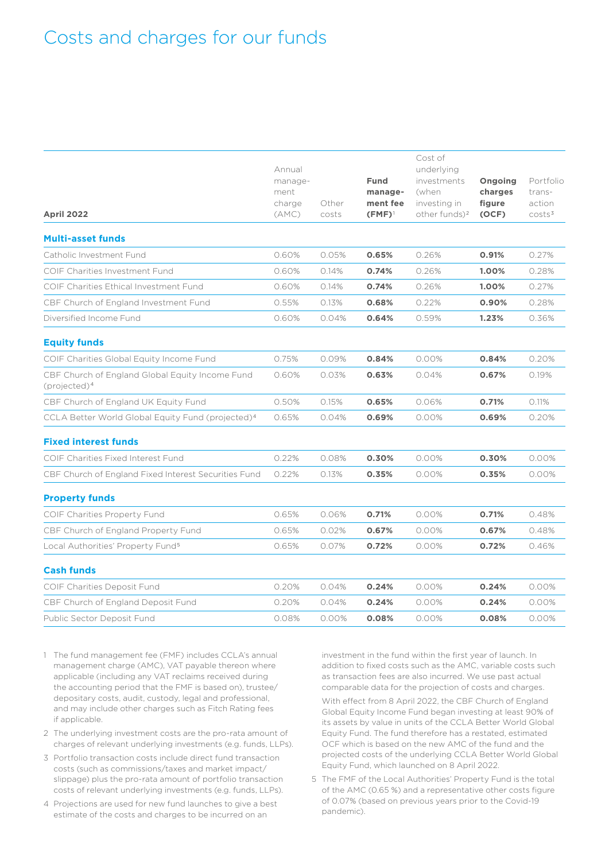# Costs and charges for our funds

| <b>April 2022</b>                                                           | Annual<br>manage-<br>ment<br>charge<br>(AMC) | Other<br>costs | <b>Fund</b><br>manage-<br>ment fee<br>$(FMF)^{1}$ | Cost of<br>underlying<br>investments<br>(when<br>investing in<br>other funds) <sup>2</sup> | Ongoing<br>charges<br>figure<br>(OCF) | Portfolio<br>trans-<br>action<br>costs <sup>3</sup> |
|-----------------------------------------------------------------------------|----------------------------------------------|----------------|---------------------------------------------------|--------------------------------------------------------------------------------------------|---------------------------------------|-----------------------------------------------------|
| <b>Multi-asset funds</b>                                                    |                                              |                |                                                   |                                                                                            |                                       |                                                     |
| Catholic Investment Fund                                                    | 0.60%                                        | 0.05%          | 0.65%                                             | 0.26%                                                                                      | 0.91%                                 | 0.27%                                               |
| COIF Charities Investment Fund                                              | 0.60%                                        | 0.14%          | 0.74%                                             | 0.26%                                                                                      | 1.00%                                 | 0.28%                                               |
| COIF Charities Ethical Investment Fund                                      | 0.60%                                        | 0.14%          | 0.74%                                             | 0.26%                                                                                      | 1.00%                                 | 0.27%                                               |
| CBF Church of England Investment Fund                                       | 0.55%                                        | 0.13%          | 0.68%                                             | 0.22%                                                                                      | 0.90%                                 | 0.28%                                               |
| Diversified Income Fund                                                     | 0.60%                                        | 0.04%          | 0.64%                                             | 0.59%                                                                                      | 1.23%                                 | 0.36%                                               |
| <b>Equity funds</b>                                                         |                                              |                |                                                   |                                                                                            |                                       |                                                     |
| COIF Charities Global Equity Income Fund                                    | 0.75%                                        | 0.09%          | 0.84%                                             | 0.00%                                                                                      | 0.84%                                 | 0.20%                                               |
| CBF Church of England Global Equity Income Fund<br>(projected) <sup>4</sup> | 0.60%                                        | 0.03%          | 0.63%                                             | 0.04%                                                                                      | 0.67%                                 | 0.19%                                               |
| CBF Church of England UK Equity Fund                                        | 0.50%                                        | 0.15%          | 0.65%                                             | 0.06%                                                                                      | 0.71%                                 | 0.11%                                               |
| CCLA Better World Global Equity Fund (projected) <sup>4</sup>               | 0.65%                                        | 0.04%          | 0.69%                                             | 0.00%                                                                                      | 0.69%                                 | 0.20%                                               |
| <b>Fixed interest funds</b>                                                 |                                              |                |                                                   |                                                                                            |                                       |                                                     |
| COIF Charities Fixed Interest Fund                                          | 0.22%                                        | 0.08%          | 0.30%                                             | $0.00\%$                                                                                   | 0.30%                                 | 0.00%                                               |
| CBF Church of England Fixed Interest Securities Fund                        | 0.22%                                        | 0.13%          | 0.35%                                             | 0.00%                                                                                      | 0.35%                                 | 0.00%                                               |
| <b>Property funds</b>                                                       |                                              |                |                                                   |                                                                                            |                                       |                                                     |
| COIF Charities Property Fund                                                | 0.65%                                        | 0.06%          | 0.71%                                             | 0.00%                                                                                      | 0.71%                                 | 0.48%                                               |
| CBF Church of England Property Fund                                         | 0.65%                                        | 0.02%          | 0.67%                                             | 0.00%                                                                                      | 0.67%                                 | 0.48%                                               |
| Local Authorities' Property Fund <sup>5</sup>                               | 0.65%                                        | 0.07%          | 0.72%                                             | 0.00%                                                                                      | 0.72%                                 | 0.46%                                               |
| <b>Cash funds</b>                                                           |                                              |                |                                                   |                                                                                            |                                       |                                                     |
| COIF Charities Deposit Fund                                                 | 0.20%                                        | 0.04%          | 0.24%                                             | 0.00%                                                                                      | 0.24%                                 | 0.00%                                               |
| CBF Church of England Deposit Fund                                          | 0.20%                                        | 0.04%          | 0.24%                                             | 0.00%                                                                                      | 0.24%                                 | 0.00%                                               |
| Public Sector Deposit Fund                                                  | 0.08%                                        | 0.00%          | 0.08%                                             | 0.00%                                                                                      | 0.08%                                 | 0.00%                                               |
|                                                                             |                                              |                |                                                   |                                                                                            |                                       |                                                     |

- 1 The fund management fee (FMF) includes CCLA's annual management charge (AMC), VAT payable thereon where applicable (including any VAT reclaims received during the accounting period that the FMF is based on), trustee/ depositary costs, audit, custody, legal and professional, and may include other charges such as Fitch Rating fees if applicable.
- 2 The underlying investment costs are the pro-rata amount of charges of relevant underlying investments (e.g. funds, LLPs).
- 3 Portfolio transaction costs include direct fund transaction costs (such as commissions/taxes and market impact/ slippage) plus the pro-rata amount of portfolio transaction costs of relevant underlying investments (e.g. funds, LLPs).
- 4 Projections are used for new fund launches to give a best estimate of the costs and charges to be incurred on an

investment in the fund within the first year of launch. In addition to fixed costs such as the AMC, variable costs such as transaction fees are also incurred. We use past actual comparable data for the projection of costs and charges.

With effect from 8 April 2022, the CBF Church of England Global Equity Income Fund began investing at least 90% of its assets by value in units of the CCLA Better World Global Equity Fund. The fund therefore has a restated, estimated OCF which is based on the new AMC of the fund and the projected costs of the underlying CCLA Better World Global Equity Fund, which launched on 8 April 2022.

5 The FMF of the Local Authorities' Property Fund is the total of the AMC (0.65 %) and a representative other costs figure of 0.07% (based on previous years prior to the Covid-19 pandemic).